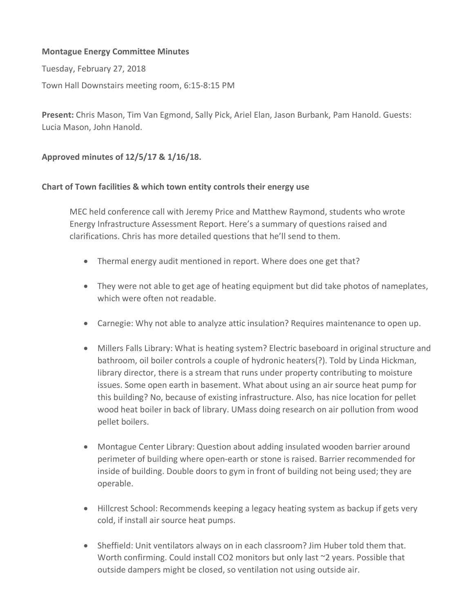## **Montague Energy Committee Minutes**

Tuesday, February 27, 2018

Town Hall Downstairs meeting room, 6:15-8:15 PM

**Present:** Chris Mason, Tim Van Egmond, Sally Pick, Ariel Elan, Jason Burbank, Pam Hanold. Guests: Lucia Mason, John Hanold.

## **Approved minutes of 12/5/17 & 1/16/18.**

## **Chart of Town facilities & which town entity controls their energy use**

MEC held conference call with Jeremy Price and Matthew Raymond, students who wrote Energy Infrastructure Assessment Report. Here's a summary of questions raised and clarifications. Chris has more detailed questions that he'll send to them.

- Thermal energy audit mentioned in report. Where does one get that?
- They were not able to get age of heating equipment but did take photos of nameplates, which were often not readable.
- Carnegie: Why not able to analyze attic insulation? Requires maintenance to open up.
- Millers Falls Library: What is heating system? Electric baseboard in original structure and bathroom, oil boiler controls a couple of hydronic heaters(?). Told by Linda Hickman, library director, there is a stream that runs under property contributing to moisture issues. Some open earth in basement. What about using an air source heat pump for this building? No, because of existing infrastructure. Also, has nice location for pellet wood heat boiler in back of library. UMass doing research on air pollution from wood pellet boilers.
- Montague Center Library: Question about adding insulated wooden barrier around perimeter of building where open-earth or stone is raised. Barrier recommended for inside of building. Double doors to gym in front of building not being used; they are operable.
- Hillcrest School: Recommends keeping a legacy heating system as backup if gets very cold, if install air source heat pumps.
- Sheffield: Unit ventilators always on in each classroom? Jim Huber told them that. Worth confirming. Could install CO2 monitors but only last ~2 years. Possible that outside dampers might be closed, so ventilation not using outside air.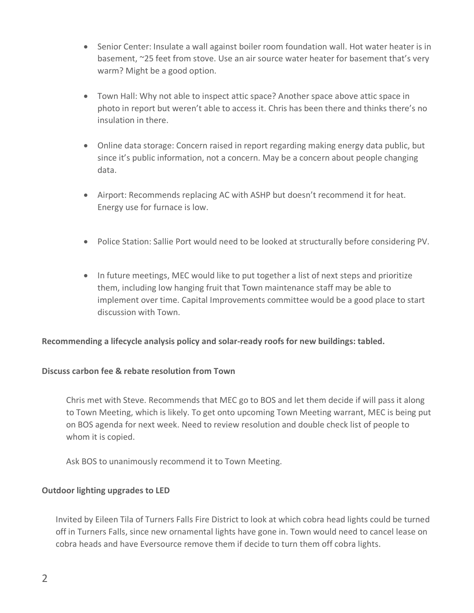- Senior Center: Insulate a wall against boiler room foundation wall. Hot water heater is in basement, ~25 feet from stove. Use an air source water heater for basement that's very warm? Might be a good option.
- Town Hall: Why not able to inspect attic space? Another space above attic space in photo in report but weren't able to access it. Chris has been there and thinks there's no insulation in there.
- Online data storage: Concern raised in report regarding making energy data public, but since it's public information, not a concern. May be a concern about people changing data.
- Airport: Recommends replacing AC with ASHP but doesn't recommend it for heat. Energy use for furnace is low.
- Police Station: Sallie Port would need to be looked at structurally before considering PV.
- In future meetings, MEC would like to put together a list of next steps and prioritize them, including low hanging fruit that Town maintenance staff may be able to implement over time. Capital Improvements committee would be a good place to start discussion with Town.

# **Recommending a lifecycle analysis policy and solar-ready roofs for new buildings: tabled.**

## **Discuss carbon fee & rebate resolution from Town**

Chris met with Steve. Recommends that MEC go to BOS and let them decide if will pass it along to Town Meeting, which is likely. To get onto upcoming Town Meeting warrant, MEC is being put on BOS agenda for next week. Need to review resolution and double check list of people to whom it is copied.

Ask BOS to unanimously recommend it to Town Meeting.

## **Outdoor lighting upgrades to LED**

Invited by Eileen Tila of Turners Falls Fire District to look at which cobra head lights could be turned off in Turners Falls, since new ornamental lights have gone in. Town would need to cancel lease on cobra heads and have Eversource remove them if decide to turn them off cobra lights.